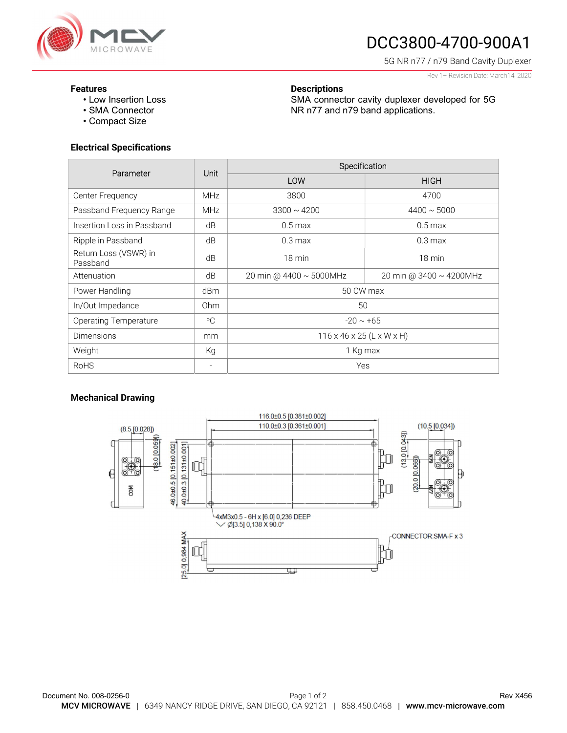

# DCC3800-4700-900A1

SMA connector cavity duplexer developed for 5G

NR n77 and n79 band applications.

5G NR n77 / n79 Band Cavity Duplexer

Rev 1– Revision Date: March14, 2020

#### Features

- Low Insertion Loss
- SMA Connector
- Compact Size

## Electrical Specifications

| Parameter                         | Unit            | Specification                         |                         |
|-----------------------------------|-----------------|---------------------------------------|-------------------------|
|                                   |                 | LOW                                   | <b>HIGH</b>             |
| Center Frequency                  | <b>MHz</b>      | 3800                                  | 4700                    |
| Passband Frequency Range          | <b>MHz</b>      | $3300 \sim 4200$                      | $4400 \sim 5000$        |
| Insertion Loss in Passband        | dB              | $0.5$ max                             | $0.5$ max               |
| Ripple in Passband                | dB              | $0.3 \text{ max}$                     | $0.3 \text{ max}$       |
| Return Loss (VSWR) in<br>Passband | dB              | 18 min                                | $18 \text{ min}$        |
| Attenuation                       | dB              | 20 min @ 4400 ~ 5000MHz               | 20 min @ 3400 ~ 4200MHz |
| Power Handling                    | dBm             | 50 CW max                             |                         |
| In/Out Impedance                  | 0 <sub>hm</sub> | 50                                    |                         |
| <b>Operating Temperature</b>      | $^{\circ}$ C    | $-20 \sim +65$                        |                         |
| <b>Dimensions</b>                 | mm              | $116 \times 46 \times 25$ (L x W x H) |                         |
| Weight                            | Kg              | 1 Kg max                              |                         |
| <b>RoHS</b>                       |                 | Yes                                   |                         |

**Descriptions** 

### Mechanical Drawing